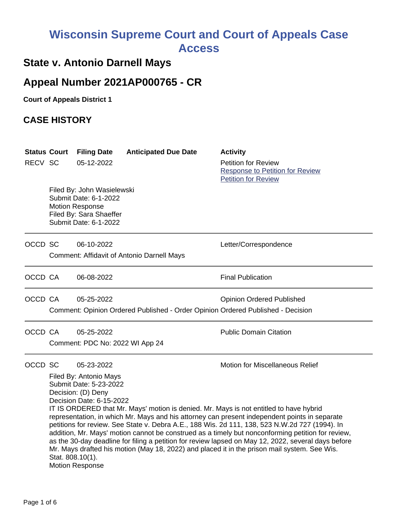# **Wisconsin Supreme Court and Court of Appeals Case Access**

## **State v. Antonio Darnell Mays**

## **Appeal Number 2021AP000765 - CR**

**Court of Appeals District 1**

## **CASE HISTORY**

| RECV SC | <b>Status Court</b>                                                                                                                                                                                                                                                                                                                                                                                                                                                                                                                                                                                                                                                                                                                                                                                               | <b>Filing Date</b><br>05-12-2022                                                                                                  | <b>Anticipated Due Date</b>                       | <b>Activity</b><br><b>Petition for Review</b><br><b>Response to Petition for Review</b><br><b>Petition for Review</b> |  |
|---------|-------------------------------------------------------------------------------------------------------------------------------------------------------------------------------------------------------------------------------------------------------------------------------------------------------------------------------------------------------------------------------------------------------------------------------------------------------------------------------------------------------------------------------------------------------------------------------------------------------------------------------------------------------------------------------------------------------------------------------------------------------------------------------------------------------------------|-----------------------------------------------------------------------------------------------------------------------------------|---------------------------------------------------|-----------------------------------------------------------------------------------------------------------------------|--|
|         |                                                                                                                                                                                                                                                                                                                                                                                                                                                                                                                                                                                                                                                                                                                                                                                                                   | Filed By: John Wasielewski<br>Submit Date: 6-1-2022<br><b>Motion Response</b><br>Filed By: Sara Shaeffer<br>Submit Date: 6-1-2022 |                                                   |                                                                                                                       |  |
| OCCD SC |                                                                                                                                                                                                                                                                                                                                                                                                                                                                                                                                                                                                                                                                                                                                                                                                                   | 06-10-2022                                                                                                                        | <b>Comment: Affidavit of Antonio Darnell Mays</b> | Letter/Correspondence                                                                                                 |  |
| OCCD CA |                                                                                                                                                                                                                                                                                                                                                                                                                                                                                                                                                                                                                                                                                                                                                                                                                   | 06-08-2022                                                                                                                        |                                                   | <b>Final Publication</b>                                                                                              |  |
| OCCD CA |                                                                                                                                                                                                                                                                                                                                                                                                                                                                                                                                                                                                                                                                                                                                                                                                                   | 05-25-2022                                                                                                                        |                                                   | <b>Opinion Ordered Published</b><br>Comment: Opinion Ordered Published - Order Opinion Ordered Published - Decision   |  |
| OCCD CA |                                                                                                                                                                                                                                                                                                                                                                                                                                                                                                                                                                                                                                                                                                                                                                                                                   | 05-25-2022<br>Comment: PDC No: 2022 WI App 24                                                                                     |                                                   | <b>Public Domain Citation</b>                                                                                         |  |
| OCCD SC | <b>Motion for Miscellaneous Relief</b><br>05-23-2022<br>Filed By: Antonio Mays<br>Submit Date: 5-23-2022<br>Decision: (D) Deny<br>Decision Date: 6-15-2022<br>IT IS ORDERED that Mr. Mays' motion is denied. Mr. Mays is not entitled to have hybrid<br>representation, in which Mr. Mays and his attorney can present independent points in separate<br>petitions for review. See State v. Debra A.E., 188 Wis. 2d 111, 138, 523 N.W.2d 727 (1994). In<br>addition, Mr. Mays' motion cannot be construed as a timely but nonconforming petition for review,<br>as the 30-day deadline for filing a petition for review lapsed on May 12, 2022, several days before<br>Mr. Mays drafted his motion (May 18, 2022) and placed it in the prison mail system. See Wis.<br>Stat. 808.10(1).<br><b>Motion Response</b> |                                                                                                                                   |                                                   |                                                                                                                       |  |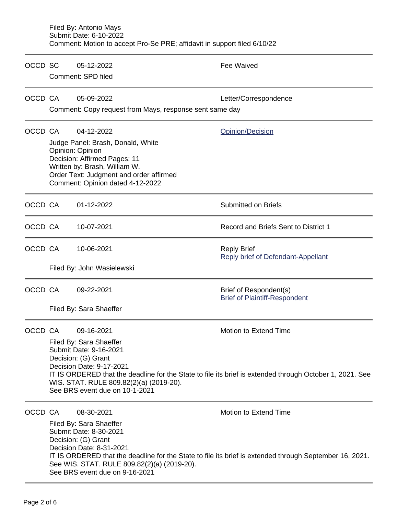|         | Filed By: Antonio Mays<br>Submit Date: 6-10-2022<br>Comment: Motion to accept Pro-Se PRE; affidavit in support filed 6/10/22                                                                                                                                                                                                         |                                                                                                                                                                                                                     |                                                                                                                                  |  |  |  |
|---------|--------------------------------------------------------------------------------------------------------------------------------------------------------------------------------------------------------------------------------------------------------------------------------------------------------------------------------------|---------------------------------------------------------------------------------------------------------------------------------------------------------------------------------------------------------------------|----------------------------------------------------------------------------------------------------------------------------------|--|--|--|
| OCCD SC |                                                                                                                                                                                                                                                                                                                                      | 05-12-2022                                                                                                                                                                                                          | Fee Waived                                                                                                                       |  |  |  |
|         | Comment: SPD filed                                                                                                                                                                                                                                                                                                                   |                                                                                                                                                                                                                     |                                                                                                                                  |  |  |  |
| OCCD CA |                                                                                                                                                                                                                                                                                                                                      | 05-09-2022<br>Comment: Copy request from Mays, response sent same day                                                                                                                                               | Letter/Correspondence                                                                                                            |  |  |  |
| OCCD CA |                                                                                                                                                                                                                                                                                                                                      | 04-12-2022<br>Judge Panel: Brash, Donald, White<br>Opinion: Opinion<br>Decision: Affirmed Pages: 11<br>Written by: Brash, William W.<br>Order Text: Judgment and order affirmed<br>Comment: Opinion dated 4-12-2022 | Opinion/Decision                                                                                                                 |  |  |  |
| OCCD CA |                                                                                                                                                                                                                                                                                                                                      | 01-12-2022                                                                                                                                                                                                          | <b>Submitted on Briefs</b>                                                                                                       |  |  |  |
| OCCD CA |                                                                                                                                                                                                                                                                                                                                      | 10-07-2021                                                                                                                                                                                                          | Record and Briefs Sent to District 1                                                                                             |  |  |  |
| OCCD CA |                                                                                                                                                                                                                                                                                                                                      | 10-06-2021                                                                                                                                                                                                          | <b>Reply Brief</b><br><b>Reply brief of Defendant-Appellant</b>                                                                  |  |  |  |
|         |                                                                                                                                                                                                                                                                                                                                      | Filed By: John Wasielewski                                                                                                                                                                                          |                                                                                                                                  |  |  |  |
| OCCD CA |                                                                                                                                                                                                                                                                                                                                      | 09-22-2021                                                                                                                                                                                                          | Brief of Respondent(s)<br><b>Brief of Plaintiff-Respondent</b>                                                                   |  |  |  |
|         | Filed By: Sara Shaeffer                                                                                                                                                                                                                                                                                                              |                                                                                                                                                                                                                     |                                                                                                                                  |  |  |  |
| OCCD CA | 09-16-2021<br>Motion to Extend Time<br>Filed By: Sara Shaeffer<br>Submit Date: 9-16-2021<br>Decision: (G) Grant<br>Decision Date: 9-17-2021<br>IT IS ORDERED that the deadline for the State to file its brief is extended through October 1, 2021. See<br>WIS. STAT. RULE 809.82(2)(a) (2019-20).<br>See BRS event due on 10-1-2021 |                                                                                                                                                                                                                     |                                                                                                                                  |  |  |  |
| OCCD CA |                                                                                                                                                                                                                                                                                                                                      | 08-30-2021<br>Filed By: Sara Shaeffer<br>Submit Date: 8-30-2021<br>Decision: (G) Grant<br>Decision Date: 8-31-2021<br>See WIS. STAT. RULE 809.82(2)(a) (2019-20).<br>See BRS event due on 9-16-2021                 | Motion to Extend Time<br>IT IS ORDERED that the deadline for the State to file its brief is extended through September 16, 2021. |  |  |  |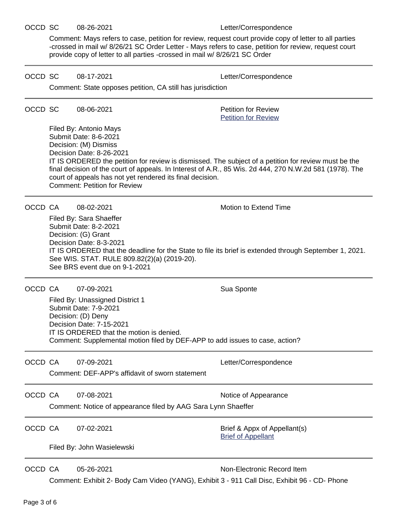### OCCD SC 08-26-2021 Letter/Correspondence

Comment: Mays refers to case, petition for review, request court provide copy of letter to all parties -crossed in mail w/ 8/26/21 SC Order Letter - Mays refers to case, petition for review, request court provide copy of letter to all parties -crossed in mail w/ 8/26/21 SC Order

OCCD SC 08-17-2021 Letter/Correspondence

|         | Comment: State opposes petition, CA still has jurisdiction                                                                                                                                                                                                                                                                                                                                                                  |                                                                                                                                                                                                                                                      |                                                           |  |  |
|---------|-----------------------------------------------------------------------------------------------------------------------------------------------------------------------------------------------------------------------------------------------------------------------------------------------------------------------------------------------------------------------------------------------------------------------------|------------------------------------------------------------------------------------------------------------------------------------------------------------------------------------------------------------------------------------------------------|-----------------------------------------------------------|--|--|
| OCCD SC |                                                                                                                                                                                                                                                                                                                                                                                                                             | 08-06-2021                                                                                                                                                                                                                                           | <b>Petition for Review</b><br><b>Petition for Review</b>  |  |  |
|         | Filed By: Antonio Mays<br>Submit Date: 8-6-2021<br>Decision: (M) Dismiss<br>Decision Date: 8-26-2021<br>IT IS ORDERED the petition for review is dismissed. The subject of a petition for review must be the<br>final decision of the court of appeals. In Interest of A.R., 85 Wis. 2d 444, 270 N.W.2d 581 (1978). The<br>court of appeals has not yet rendered its final decision.<br><b>Comment: Petition for Review</b> |                                                                                                                                                                                                                                                      |                                                           |  |  |
| OCCD CA |                                                                                                                                                                                                                                                                                                                                                                                                                             | 08-02-2021                                                                                                                                                                                                                                           | <b>Motion to Extend Time</b>                              |  |  |
|         | Filed By: Sara Shaeffer<br>Submit Date: 8-2-2021<br>Decision: (G) Grant<br>Decision Date: 8-3-2021<br>IT IS ORDERED that the deadline for the State to file its brief is extended through September 1, 2021.<br>See WIS. STAT. RULE 809.82(2)(a) (2019-20).<br>See BRS event due on 9-1-2021                                                                                                                                |                                                                                                                                                                                                                                                      |                                                           |  |  |
| OCCD CA |                                                                                                                                                                                                                                                                                                                                                                                                                             | 07-09-2021<br>Filed By: Unassigned District 1<br>Submit Date: 7-9-2021<br>Decision: (D) Deny<br>Decision Date: 7-15-2021<br>IT IS ORDERED that the motion is denied.<br>Comment: Supplemental motion filed by DEF-APP to add issues to case, action? | Sua Sponte                                                |  |  |
| OCCD CA |                                                                                                                                                                                                                                                                                                                                                                                                                             | 07-09-2021<br>Comment: DEF-APP's affidavit of sworn statement                                                                                                                                                                                        | Letter/Correspondence                                     |  |  |
| OCCD CA |                                                                                                                                                                                                                                                                                                                                                                                                                             | 07-08-2021<br>Notice of Appearance<br>Comment: Notice of appearance filed by AAG Sara Lynn Shaeffer                                                                                                                                                  |                                                           |  |  |
| OCCD CA |                                                                                                                                                                                                                                                                                                                                                                                                                             | 07-02-2021                                                                                                                                                                                                                                           | Brief & Appx of Appellant(s)<br><b>Brief of Appellant</b> |  |  |
|         | Filed By: John Wasielewski                                                                                                                                                                                                                                                                                                                                                                                                  |                                                                                                                                                                                                                                                      |                                                           |  |  |
| OCCD CA |                                                                                                                                                                                                                                                                                                                                                                                                                             | 05-26-2021<br>Comment: Exhibit 2- Body Cam Video (YANG), Exhibit 3 - 911 Call Disc, Exhibit 96 - CD- Phone                                                                                                                                           | Non-Electronic Record Item                                |  |  |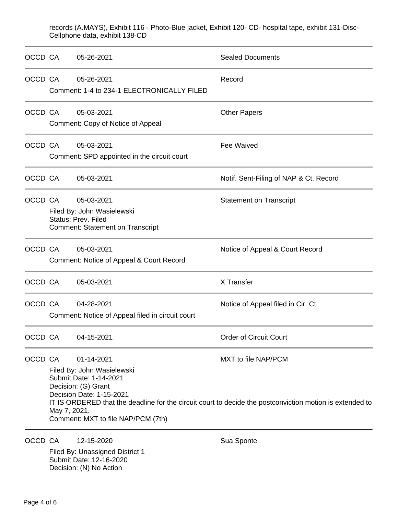records (A.MAYS), Exhibit 116 - Photo-Blue jacket, Exhibit 120- CD- hospital tape, exhibit 131-Disc-Cellphone data, exhibit 138-CD

| OCCD CA |                                                                                                                                                                                                                                                                                                                | 05-26-2021                                                                                          | <b>Sealed Documents</b>                |
|---------|----------------------------------------------------------------------------------------------------------------------------------------------------------------------------------------------------------------------------------------------------------------------------------------------------------------|-----------------------------------------------------------------------------------------------------|----------------------------------------|
| OCCD CA |                                                                                                                                                                                                                                                                                                                | 05-26-2021<br>Comment: 1-4 to 234-1 ELECTRONICALLY FILED                                            | Record                                 |
| OCCD CA |                                                                                                                                                                                                                                                                                                                | 05-03-2021<br>Comment: Copy of Notice of Appeal                                                     | <b>Other Papers</b>                    |
| OCCD CA |                                                                                                                                                                                                                                                                                                                | 05-03-2021<br>Comment: SPD appointed in the circuit court                                           | <b>Fee Waived</b>                      |
| OCCD CA |                                                                                                                                                                                                                                                                                                                | 05-03-2021                                                                                          | Notif. Sent-Filing of NAP & Ct. Record |
| OCCD CA | 05-03-2021<br><b>Statement on Transcript</b><br>Filed By: John Wasielewski<br><b>Status: Prev. Filed</b><br><b>Comment: Statement on Transcript</b>                                                                                                                                                            |                                                                                                     |                                        |
| OCCD CA |                                                                                                                                                                                                                                                                                                                | 05-03-2021<br>Comment: Notice of Appeal & Court Record                                              | Notice of Appeal & Court Record        |
| OCCD CA |                                                                                                                                                                                                                                                                                                                | 05-03-2021                                                                                          | X Transfer                             |
| OCCD CA |                                                                                                                                                                                                                                                                                                                | 04-28-2021<br>Comment: Notice of Appeal filed in circuit court                                      | Notice of Appeal filed in Cir. Ct.     |
| OCCD CA |                                                                                                                                                                                                                                                                                                                | 04-15-2021                                                                                          | <b>Order of Circuit Court</b>          |
| OCCD CA | MXT to file NAP/PCM<br>01-14-2021<br>Filed By: John Wasielewski<br>Submit Date: 1-14-2021<br>Decision: (G) Grant<br>Decision Date: 1-15-2021<br>IT IS ORDERED that the deadline for the circuit court to decide the postconviction motion is extended to<br>May 7, 2021.<br>Comment: MXT to file NAP/PCM (7th) |                                                                                                     |                                        |
| OCCD CA |                                                                                                                                                                                                                                                                                                                | 12-15-2020<br>Filed By: Unassigned District 1<br>Submit Date: 12-16-2020<br>Decision: (N) No Action | Sua Sponte                             |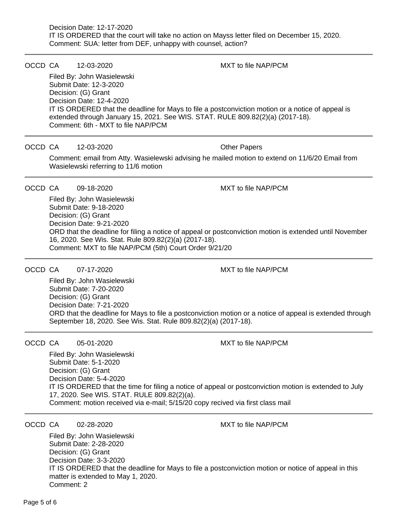#### OCCD CA 12-03-2020 MXT to file NAP/PCM

Filed By: John Wasielewski Submit Date: 12-3-2020 Decision: (G) Grant Decision Date: 12-4-2020 IT IS ORDERED that the deadline for Mays to file a postconviction motion or a notice of appeal is extended through January 15, 2021. See WIS. STAT. RULE 809.82(2)(a) (2017-18). Comment: 6th - MXT to file NAP/PCM

### OCCD CA 12-03-2020 Other Papers

Comment: email from Atty. Wasielewski advising he mailed motion to extend on 11/6/20 Email from Wasielewski referring to 11/6 motion

OCCD CA 09-18-2020 MXT to file NAP/PCM

Filed By: John Wasielewski Submit Date: 9-18-2020 Decision: (G) Grant Decision Date: 9-21-2020 ORD that the deadline for filing a notice of appeal or postconviction motion is extended until November 16, 2020. See Wis. Stat. Rule 809.82(2)(a) (2017-18). Comment: MXT to file NAP/PCM (5th) Court Order 9/21/20

OCCD CA 07-17-2020 MXT to file NAP/PCM

Filed By: John Wasielewski Submit Date: 7-20-2020 Decision: (G) Grant Decision Date: 7-21-2020 ORD that the deadline for Mays to file a postconviction motion or a notice of appeal is extended through September 18, 2020. See Wis. Stat. Rule 809.82(2)(a) (2017-18).

OCCD CA 05-01-2020 MXT to file NAP/PCM

Filed By: John Wasielewski Submit Date: 5-1-2020 Decision: (G) Grant Decision Date: 5-4-2020 IT IS ORDERED that the time for filing a notice of appeal or postconviction motion is extended to July 17, 2020. See WIS. STAT. RULE 809.82(2)(a). Comment: motion received via e-mail; 5/15/20 copy recived via first class mail

OCCD CA 02-28-2020 MXT to file NAP/PCM

Filed By: John Wasielewski Submit Date: 2-28-2020 Decision: (G) Grant Decision Date: 3-3-2020 IT IS ORDERED that the deadline for Mays to file a postconviction motion or notice of appeal in this matter is extended to May 1, 2020. Comment: 2